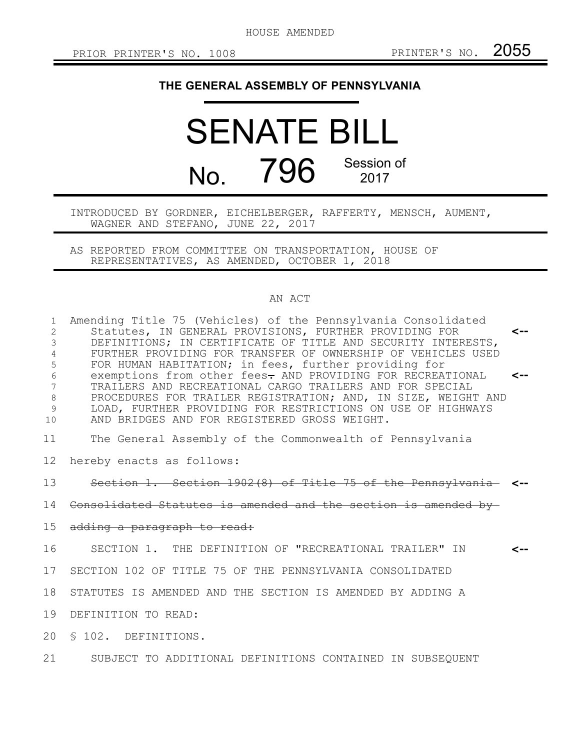HOUSE AMENDED

## **THE GENERAL ASSEMBLY OF PENNSYLVANIA**

## SENATE BILL No. 796 Session of 2017

INTRODUCED BY GORDNER, EICHELBERGER, RAFFERTY, MENSCH, AUMENT, WAGNER AND STEFANO, JUNE 22, 2017

AS REPORTED FROM COMMITTEE ON TRANSPORTATION, HOUSE OF REPRESENTATIVES, AS AMENDED, OCTOBER 1, 2018

## AN ACT

| $\mathbf{1}$<br>$\mathbf{2}$<br>3<br>4<br>5<br>$6\,$<br>7<br>$\,8\,$<br>9<br>10 | Amending Title 75 (Vehicles) of the Pennsylvania Consolidated<br>Statutes, IN GENERAL PROVISIONS, FURTHER PROVIDING FOR<br>DEFINITIONS; IN CERTIFICATE OF TITLE AND SECURITY INTERESTS,<br>FURTHER PROVIDING FOR TRANSFER OF OWNERSHIP OF VEHICLES USED<br>FOR HUMAN HABITATION; in fees, further providing for<br>exemptions from other fees- AND PROVIDING FOR RECREATIONAL<br>TRAILERS AND RECREATIONAL CARGO TRAILERS AND FOR SPECIAL<br>PROCEDURES FOR TRAILER REGISTRATION; AND, IN SIZE, WEIGHT AND<br>LOAD, FURTHER PROVIDING FOR RESTRICTIONS ON USE OF HIGHWAYS<br>AND BRIDGES AND FOR REGISTERED GROSS WEIGHT. | $\leftarrow$<br>⊂-- |
|---------------------------------------------------------------------------------|---------------------------------------------------------------------------------------------------------------------------------------------------------------------------------------------------------------------------------------------------------------------------------------------------------------------------------------------------------------------------------------------------------------------------------------------------------------------------------------------------------------------------------------------------------------------------------------------------------------------------|---------------------|
| 11                                                                              | The General Assembly of the Commonwealth of Pennsylvania                                                                                                                                                                                                                                                                                                                                                                                                                                                                                                                                                                  |                     |
| 12                                                                              | hereby enacts as follows:                                                                                                                                                                                                                                                                                                                                                                                                                                                                                                                                                                                                 |                     |
| 13                                                                              | Section 1. Section 1902(8) of Title 75 of the Pennsylvania <-                                                                                                                                                                                                                                                                                                                                                                                                                                                                                                                                                             |                     |
|                                                                                 | 14 Consolidated Statutes is amended and the section is amended by-                                                                                                                                                                                                                                                                                                                                                                                                                                                                                                                                                        |                     |
| 15                                                                              | adding a paragraph to read:                                                                                                                                                                                                                                                                                                                                                                                                                                                                                                                                                                                               |                     |
| 16                                                                              | SECTION 1. THE DEFINITION OF "RECREATIONAL TRAILER" IN                                                                                                                                                                                                                                                                                                                                                                                                                                                                                                                                                                    |                     |
| 17                                                                              | SECTION 102 OF TITLE 75 OF THE PENNSYLVANIA CONSOLIDATED                                                                                                                                                                                                                                                                                                                                                                                                                                                                                                                                                                  |                     |
| 18                                                                              | STATUTES IS AMENDED AND THE SECTION IS AMENDED BY ADDING A                                                                                                                                                                                                                                                                                                                                                                                                                                                                                                                                                                |                     |
| 19                                                                              | DEFINITION TO READ:                                                                                                                                                                                                                                                                                                                                                                                                                                                                                                                                                                                                       |                     |
|                                                                                 | 20 § 102. DEFINITIONS.                                                                                                                                                                                                                                                                                                                                                                                                                                                                                                                                                                                                    |                     |
| 21 /                                                                            | SUBJECT TO ADDITIONAL DEFINITIONS CONTAINED IN SUBSEQUENT                                                                                                                                                                                                                                                                                                                                                                                                                                                                                                                                                                 |                     |
|                                                                                 |                                                                                                                                                                                                                                                                                                                                                                                                                                                                                                                                                                                                                           |                     |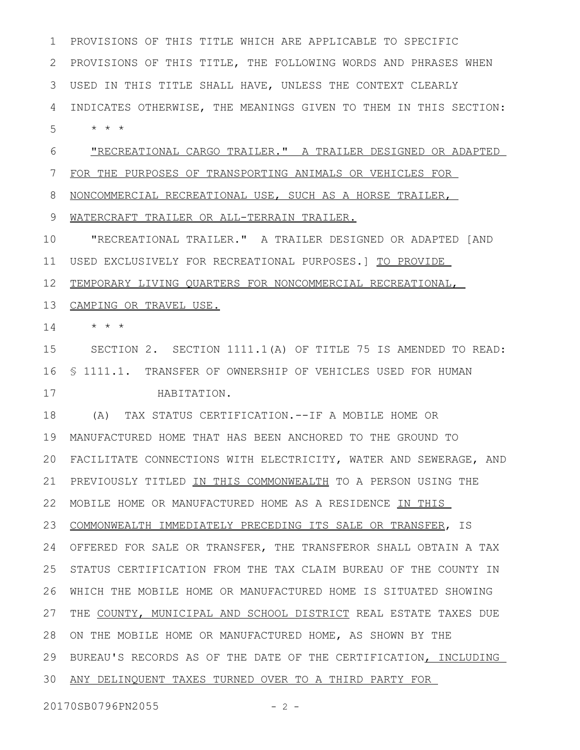PROVISIONS OF THIS TITLE WHICH ARE APPLICABLE TO SPECIFIC PROVISIONS OF THIS TITLE, THE FOLLOWING WORDS AND PHRASES WHEN USED IN THIS TITLE SHALL HAVE, UNLESS THE CONTEXT CLEARLY INDICATES OTHERWISE, THE MEANINGS GIVEN TO THEM IN THIS SECTION: \* \* \* 1 2 3 4 5

"RECREATIONAL CARGO TRAILER." A TRAILER DESIGNED OR ADAPTED 6

FOR THE PURPOSES OF TRANSPORTING ANIMALS OR VEHICLES FOR 7

NONCOMMERCIAL RECREATIONAL USE, SUCH AS A HORSE TRAILER, 8

WATERCRAFT TRAILER OR ALL-TERRAIN TRAILER. 9

"RECREATIONAL TRAILER." A TRAILER DESIGNED OR ADAPTED [AND USED EXCLUSIVELY FOR RECREATIONAL PURPOSES.] TO PROVIDE 10 11

TEMPORARY LIVING QUARTERS FOR NONCOMMERCIAL RECREATIONAL, 12

13 CAMPING OR TRAVEL USE.

\* \* \* 14

SECTION 2. SECTION 1111.1(A) OF TITLE 75 IS AMENDED TO READ: § 1111.1. TRANSFER OF OWNERSHIP OF VEHICLES USED FOR HUMAN 16 HABITATION. 15 17

(A) TAX STATUS CERTIFICATION.--IF A MOBILE HOME OR 18 MANUFACTURED HOME THAT HAS BEEN ANCHORED TO THE GROUND TO 19 FACILITATE CONNECTIONS WITH ELECTRICITY, WATER AND SEWERAGE, AND 20 21 PREVIOUSLY TITLED IN THIS COMMONWEALTH TO A PERSON USING THE 22 MOBILE HOME OR MANUFACTURED HOME AS A RESIDENCE IN THIS 23 COMMONWEALTH IMMEDIATELY PRECEDING ITS SALE OR TRANSFER, IS OFFERED FOR SALE OR TRANSFER, THE TRANSFEROR SHALL OBTAIN A TAX 24 STATUS CERTIFICATION FROM THE TAX CLAIM BUREAU OF THE COUNTY IN WHICH THE MOBILE HOME OR MANUFACTURED HOME IS SITUATED SHOWING 26 27 THE COUNTY, MUNICIPAL AND SCHOOL DISTRICT REAL ESTATE TAXES DUE 28 ON THE MOBILE HOME OR MANUFACTURED HOME, AS SHOWN BY THE 29 BUREAU'S RECORDS AS OF THE DATE OF THE CERTIFICATION, INCLUDING ANY DELINQUENT TAXES TURNED OVER TO A THIRD PARTY FOR 3025

20170SB0796PN2055 - 2 -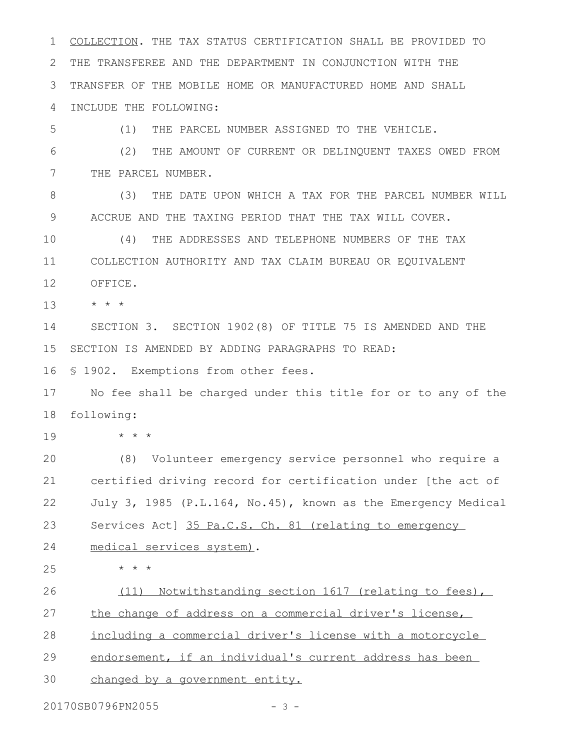COLLECTION. THE TAX STATUS CERTIFICATION SHALL BE PROVIDED TO THE TRANSFEREE AND THE DEPARTMENT IN CONJUNCTION WITH THE TRANSFER OF THE MOBILE HOME OR MANUFACTURED HOME AND SHALL INCLUDE THE FOLLOWING: (1) THE PARCEL NUMBER ASSIGNED TO THE VEHICLE. (2) THE AMOUNT OF CURRENT OR DELINQUENT TAXES OWED FROM THE PARCEL NUMBER. (3) THE DATE UPON WHICH A TAX FOR THE PARCEL NUMBER WILL ACCRUE AND THE TAXING PERIOD THAT THE TAX WILL COVER. (4) THE ADDRESSES AND TELEPHONE NUMBERS OF THE TAX COLLECTION AUTHORITY AND TAX CLAIM BUREAU OR EQUIVALENT OFFICE. \* \* \* SECTION 3. SECTION 1902(8) OF TITLE 75 IS AMENDED AND THE SECTION IS AMENDED BY ADDING PARAGRAPHS TO READ: § 1902. Exemptions from other fees. No fee shall be charged under this title for or to any of the following: \* \* \* (8) Volunteer emergency service personnel who require a certified driving record for certification under [the act of July 3, 1985 (P.L.164, No.45), known as the Emergency Medical Services Act] 35 Pa.C.S. Ch. 81 (relating to emergency medical services system). \* \* \* (11) Notwithstanding section 1617 (relating to fees), the change of address on a commercial driver's license, including a commercial driver's license with a motorcycle 1 2 3 4 5 6 7 8 9 10 11 12 13 14 15 16 17 18 19 20 21 22 23 24 25 26 27 28

endorsement, if an individual's current address has been 29

changed by a government entity. 30

20170SB0796PN2055 - 3 -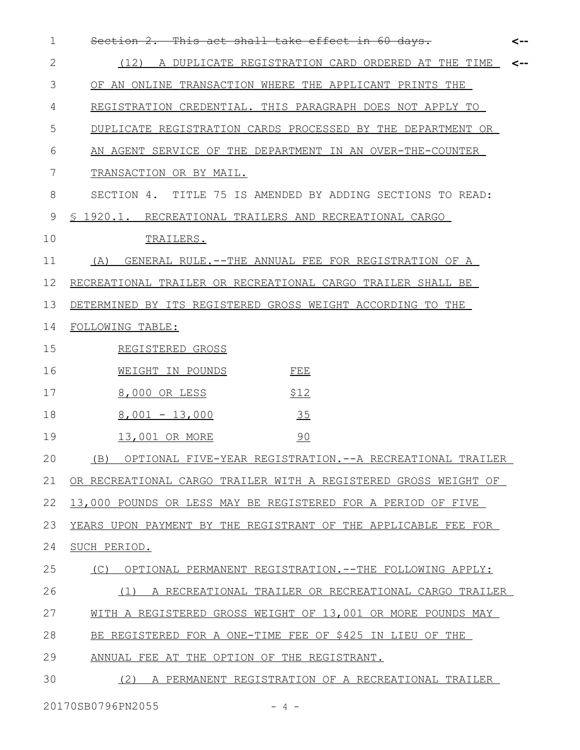| $\mathbf 1$ | This act shall take effect in 60 days.<br><del>Section 2.</del><br><--    |
|-------------|---------------------------------------------------------------------------|
| 2           | (12)<br>A DUPLICATE REGISTRATION CARD ORDERED AT THE TIME<br>$\leftarrow$ |
| 3           | OF AN ONLINE TRANSACTION WHERE THE APPLICANT PRINTS THE                   |
| 4           | REGISTRATION CREDENTIAL. THIS PARAGRAPH DOES NOT APPLY TO                 |
| 5           | DUPLICATE REGISTRATION CARDS PROCESSED BY THE DEPARTMENT OR               |
| 6           | AN AGENT SERVICE OF THE DEPARTMENT IN AN OVER-THE-COUNTER                 |
| 7           | TRANSACTION OR BY MAIL.                                                   |
| 8           | SECTION 4. TITLE 75 IS AMENDED BY ADDING SECTIONS TO READ:                |
| 9           | § 1920.1. RECREATIONAL TRAILERS AND RECREATIONAL CARGO                    |
| 10          | TRAILERS.                                                                 |
| 11          | (A)<br>GENERAL RULE. -- THE ANNUAL FEE FOR REGISTRATION OF A              |
| 12          | RECREATIONAL TRAILER OR RECREATIONAL CARGO TRAILER SHALL BE               |
| 13          | DETERMINED BY ITS REGISTERED GROSS WEIGHT ACCORDING TO THE                |
| 14          | FOLLOWING TABLE:                                                          |
| 15          | REGISTERED GROSS                                                          |
| 16          | WEIGHT IN POUNDS<br>FEE                                                   |
| 17          | \$12<br>8,000 OR LESS                                                     |
| 18          | 35<br>$8,001 - 13,000$                                                    |
| 19          | 90<br>13,001 OR MORE                                                      |
| 20          | (B) OPTIONAL FIVE-YEAR REGISTRATION.--A RECREATIONAL TRAILER              |
| 21          | OR RECREATIONAL CARGO TRAILER WITH A REGISTERED GROSS WEIGHT OF           |
| 22          | 13,000 POUNDS OR LESS MAY BE REGISTERED FOR A PERIOD OF FIVE              |
| 23          | YEARS UPON PAYMENT BY THE REGISTRANT OF THE APPLICABLE FEE FOR            |
| 24          | SUCH PERIOD.                                                              |
| 25          | OPTIONAL PERMANENT REGISTRATION. -- THE FOLLOWING APPLY:<br>(C)           |
| 26          | (1)<br>A RECREATIONAL TRAILER OR RECREATIONAL CARGO TRAILER               |
| 27          | WITH A REGISTERED GROSS WEIGHT OF 13,001 OR MORE POUNDS MAY               |
| 28          | BE REGISTERED FOR A ONE-TIME FEE OF \$425 IN LIEU OF THE                  |
| 29          | ANNUAL FEE AT THE OPTION OF THE REGISTRANT.                               |
| 30          | (2)<br>A PERMANENT REGISTRATION OF A RECREATIONAL TRAILER                 |
|             |                                                                           |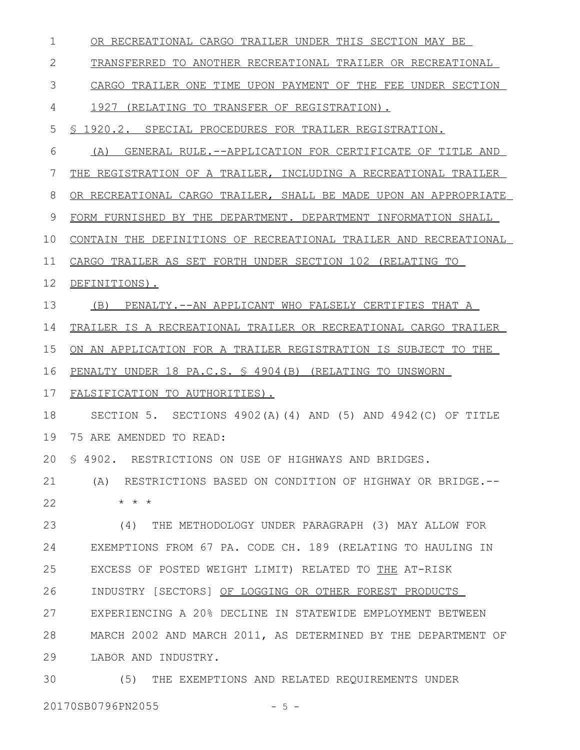| 1  | OR RECREATIONAL CARGO TRAILER UNDER THIS SECTION MAY BE          |
|----|------------------------------------------------------------------|
| 2  | TRANSFERRED TO ANOTHER RECREATIONAL TRAILER OR RECREATIONAL      |
| 3  | CARGO TRAILER ONE TIME UPON PAYMENT OF THE FEE UNDER SECTION     |
| 4  | 1927 (RELATING TO TRANSFER OF REGISTRATION).                     |
| 5  | \$ 1920.2. SPECIAL PROCEDURES FOR TRAILER REGISTRATION.          |
| 6  | GENERAL RULE. --APPLICATION FOR CERTIFICATE OF TITLE AND<br>(A)  |
| 7  | THE REGISTRATION OF A TRAILER, INCLUDING A RECREATIONAL TRAILER  |
| 8  | OR RECREATIONAL CARGO TRAILER, SHALL BE MADE UPON AN APPROPRIATE |
| 9  | FORM FURNISHED BY THE DEPARTMENT. DEPARTMENT INFORMATION SHALL   |
| 10 | CONTAIN THE DEFINITIONS OF RECREATIONAL TRAILER AND RECREATIONAL |
| 11 | CARGO TRAILER AS SET FORTH UNDER SECTION 102 (RELATING TO        |
| 12 | DEFINITIONS).                                                    |
| 13 | PENALTY.--AN APPLICANT WHO FALSELY CERTIFIES THAT A<br>(B)       |
| 14 | TRAILER IS A RECREATIONAL TRAILER OR RECREATIONAL CARGO TRAILER  |
| 15 | ON AN APPLICATION FOR A TRAILER REGISTRATION IS SUBJECT TO THE   |
| 16 | PENALTY UNDER 18 PA.C.S. \$ 4904 (B) (RELATING TO UNSWORN        |
| 17 | FALSIFICATION TO AUTHORITIES).                                   |
| 18 | SECTION 5. SECTIONS 4902(A)(4) AND (5) AND 4942(C) OF TITLE      |
| 19 | 75 ARE AMENDED TO READ:                                          |
|    | 20 \$ 4902. RESTRICTIONS ON USE OF HIGHWAYS AND BRIDGES.         |
| 21 | (A) RESTRICTIONS BASED ON CONDITION OF HIGHWAY OR BRIDGE.--      |
| 22 | $* * *$                                                          |
| 23 | (4) THE METHODOLOGY UNDER PARAGRAPH (3) MAY ALLOW FOR            |
| 24 | EXEMPTIONS FROM 67 PA. CODE CH. 189 (RELATING TO HAULING IN      |
| 25 | EXCESS OF POSTED WEIGHT LIMIT) RELATED TO THE AT-RISK            |
| 26 | INDUSTRY [SECTORS] OF LOGGING OR OTHER FOREST PRODUCTS           |
| 27 | EXPERIENCING A 20% DECLINE IN STATEWIDE EMPLOYMENT BETWEEN       |
| 28 | MARCH 2002 AND MARCH 2011, AS DETERMINED BY THE DEPARTMENT OF    |
| 29 | LABOR AND INDUSTRY.                                              |
| 30 | THE EXEMPTIONS AND RELATED REQUIREMENTS UNDER<br>(5)             |

20170SB0796PN2055 - 5 -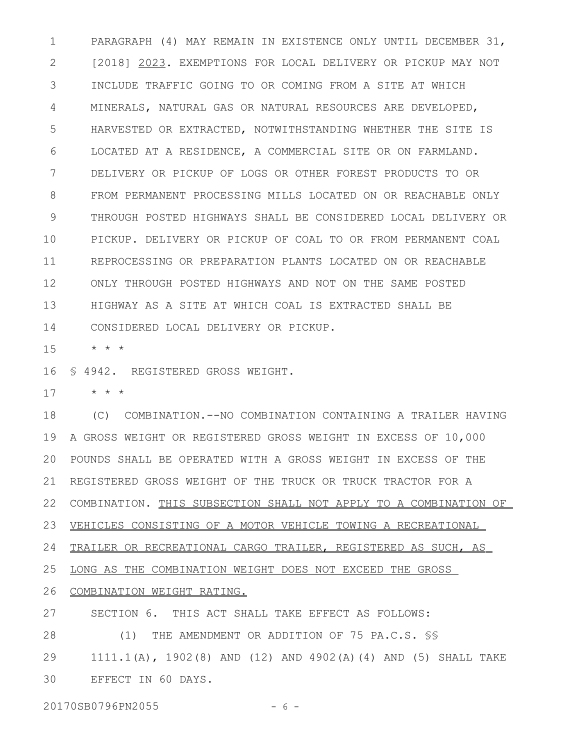PARAGRAPH (4) MAY REMAIN IN EXISTENCE ONLY UNTIL DECEMBER 31, [2018] 2023. EXEMPTIONS FOR LOCAL DELIVERY OR PICKUP MAY NOT INCLUDE TRAFFIC GOING TO OR COMING FROM A SITE AT WHICH MINERALS, NATURAL GAS OR NATURAL RESOURCES ARE DEVELOPED, HARVESTED OR EXTRACTED, NOTWITHSTANDING WHETHER THE SITE IS LOCATED AT A RESIDENCE, A COMMERCIAL SITE OR ON FARMLAND. DELIVERY OR PICKUP OF LOGS OR OTHER FOREST PRODUCTS TO OR FROM PERMANENT PROCESSING MILLS LOCATED ON OR REACHABLE ONLY THROUGH POSTED HIGHWAYS SHALL BE CONSIDERED LOCAL DELIVERY OR PICKUP. DELIVERY OR PICKUP OF COAL TO OR FROM PERMANENT COAL REPROCESSING OR PREPARATION PLANTS LOCATED ON OR REACHABLE ONLY THROUGH POSTED HIGHWAYS AND NOT ON THE SAME POSTED HIGHWAY AS A SITE AT WHICH COAL IS EXTRACTED SHALL BE CONSIDERED LOCAL DELIVERY OR PICKUP. 1 2 3 4 5 6 7 8 9 10 11 12 13 14

\* \* \* 15

§ 4942. REGISTERED GROSS WEIGHT. 16

\* \* \* 17

(C) COMBINATION.--NO COMBINATION CONTAINING A TRAILER HAVING A GROSS WEIGHT OR REGISTERED GROSS WEIGHT IN EXCESS OF 10,000 POUNDS SHALL BE OPERATED WITH A GROSS WEIGHT IN EXCESS OF THE REGISTERED GROSS WEIGHT OF THE TRUCK OR TRUCK TRACTOR FOR A 22 COMBINATION. THIS SUBSECTION SHALL NOT APPLY TO A COMBINATION OF VEHICLES CONSISTING OF A MOTOR VEHICLE TOWING A RECREATIONAL TRAILER OR RECREATIONAL CARGO TRAILER, REGISTERED AS SUCH, AS LONG AS THE COMBINATION WEIGHT DOES NOT EXCEED THE GROSS COMBINATION WEIGHT RATING. SECTION 6. THIS ACT SHALL TAKE EFFECT AS FOLLOWS: (1) THE AMENDMENT OR ADDITION OF 75 PA.C.S. §§ 1111.1(A), 1902(8) AND (12) AND 4902(A)(4) AND (5) SHALL TAKE 18 19 20 21 23 24 25 26 27 28 29

EFFECT IN 60 DAYS. 30

20170SB0796PN2055 - 6 -